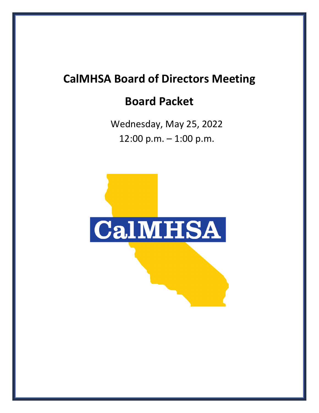## **CalMHSA Board of Directors Meeting**

## **Board Packet**

Wednesday, May 25, 2022 12:00 p.m. – 1:00 p.m.